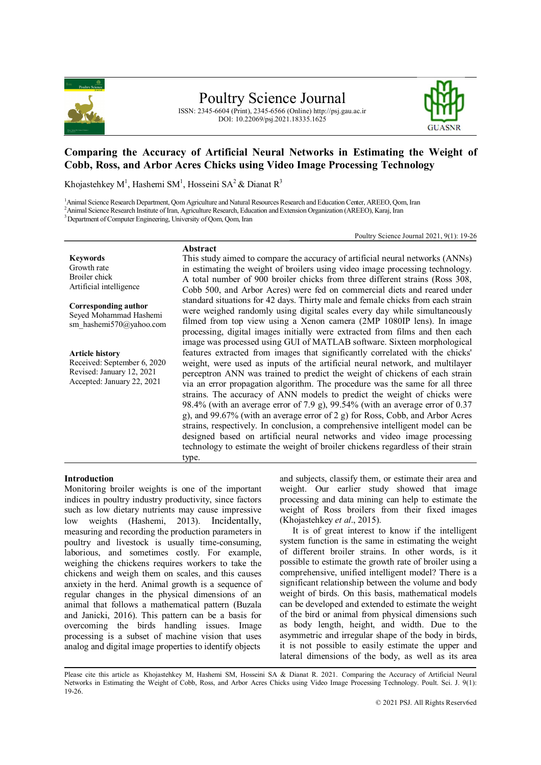

# Poultry Science Journal

ISSN: 2345-6604 (Print), 2345-6566 (Online) http://psj.gau.ac.ir DOI: 10.22069/psj.2021.18335.1625



# **Comparing the Accuracy of Artificial Neural Networks in Estimating the Weight of Cobb, Ross, and Arbor Acres Chicks using Video Image Processing Technology**

Khojastehkey M<sup>1</sup>, Hashemi SM<sup>1</sup>, Hosseini SA<sup>2</sup> & Dianat R<sup>3</sup>

**Abstract**

<sup>1</sup>Animal Science Research Department, Qom Agriculture and Natural Resources Research and Education Center, AREEO, Qom, Iran <sup>2</sup>Animal Science Research Institute of Iran, Agriculture Research, Education and Extension Organization (AREEO), Karaj, Iran

<sup>3</sup>Department of Computer Engineering, University of Qom, Qom, Iran

Poultry Science Journal 2021, 9(1): 19-26

**Keywords** Growth rate Broiler chick Artificial intelligence

**Corresponding author** Seyed Mohammad Hashemi

sm\_hashemi570@yahoo.com

**Article history** Received: September 6, 2020 Revised: January 12, 2021 Accepted: January 22, 2021

This study aimed to compare the accuracy of artificial neural networks (ANNs) in estimating the weight of broilers using video image processing technology. A total number of 900 broiler chicks from three different strains (Ross 308, Cobb 500, and Arbor Acres) were fed on commercial diets and reared under standard situations for 42 days. Thirty male and female chicks from each strain were weighed randomly using digital scales every day while simultaneously filmed from top view using a Xenon camera (2MP 1080IP lens). In image processing, digital images initially were extracted from films and then each image was processed using GUI of MATLAB software. Sixteen morphological features extracted from images that significantly correlated with the chicks' weight, were used as inputs of the artificial neural network, and multilayer perceptron ANN was trained to predict the weight of chickens of each strain via an error propagation algorithm. The procedure was the same for all three strains. The accuracy of ANN models to predict the weight of chicks were 98.4% (with an average error of 7.9 g), 99.54% (with an average error of 0.37 g), and 99.67% (with an average error of 2 g) for Ross, Cobb, and Arbor Acres strains, respectively. In conclusion, a comprehensive intelligent model can be designed based on artificial neural networks and video image processing technology to estimate the weight of broiler chickens regardless of their strain type.

# **Introduction**

Monitoring broiler weights is one of the important indices in poultry industry productivity, since factors such as low dietary nutrients may cause impressive low weights (Hashemi, 2013). Incidentally, measuring and recording the production parameters in poultry and livestock is usually time-consuming, laborious, and sometimes costly. For example, weighing the chickens requires workers to take the chickens and weigh them on scales, and this causes anxiety in the herd. Animal growth is a sequence of regular changes in the physical dimensions of an animal that follows a mathematical pattern (Buzala and Janicki, 2016). This pattern can be a basis for overcoming the birds handling issues. Image processing is a subset of machine vision that uses analog and digital image properties to identify objects

and subjects, classify them, or estimate their area and weight. Our earlier study showed that image processing and data mining can help to estimate the weight of Ross broilers from their fixed images (Khojastehkey *et al*., 2015).

It is of great interest to know if the intelligent system function is the same in estimating the weight of different broiler strains. In other words, is it possible to estimate the growth rate of broiler using a comprehensive, unified intelligent model? There is a significant relationship between the volume and body weight of birds. On this basis, mathematical models can be developed and extended to estimate the weight of the bird or animal from physical dimensions such as body length, height, and width. Due to the asymmetric and irregular shape of the body in birds, it is not possible to easily estimate the upper and lateral dimensions of the body, as well as its area

Please cite this article as Khojastehkey M, Hashemi SM, Hosseini SA & Dianat R. 2021. Comparing the Accuracy of Artificial Neural Networks in Estimating the Weight of Cobb, Ross, and Arbor Acres Chicks using Video Image Processing Technology. Poult. Sci. J. 9(1): 19-26.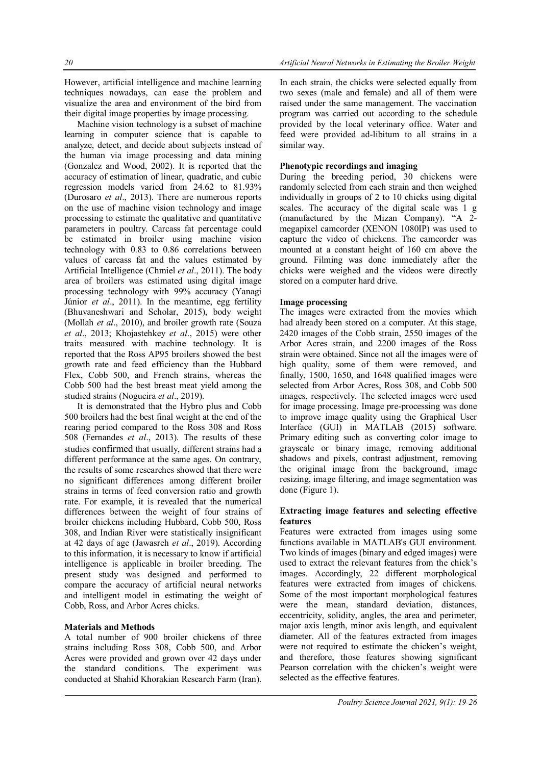However, artificial intelligence and machine learning techniques nowadays, can ease the problem and visualize the area and environment of the bird from their digital image properties by image processing.

Machine vision technology is a subset of machine learning in computer science that is capable to analyze, detect, and decide about subjects instead of the human via image processing and data mining (Gonzalez and Wood, 2002). It is reported that the accuracy of estimation of linear, quadratic, and cubic regression models varied from 24.62 to 81.93% (Durosaro *et al*., 2013). There are numerous reports on the use of machine vision technology and image processing to estimate the qualitative and quantitative parameters in poultry. Carcass fat percentage could be estimated in broiler using machine vision technology with 0.83 to 0.86 correlations between values of carcass fat and the values estimated by Artificial Intelligence (Chmiel *et al*., 2011). The body area of broilers was estimated using digital image processing technology with 99% accuracy (Yanagi Júnior *et al*., 2011). In the meantime, egg fertility (Bhuvaneshwari and Scholar, 2015), body weight (Mollah *et al*., 2010), and broiler growth rate (Souza *et al*., 2013; Khojastehkey *et al*., 2015) were other traits measured with machine technology. It is reported that the Ross AP95 broilers showed the best growth rate and feed efficiency than the Hubbard Flex, Cobb 500, and French strains, whereas the Cobb 500 had the best breast meat yield among the studied strains (Nogueira *et al*., 2019).

It is demonstrated that the Hybro plus and Cobb 500 broilers had the best final weight at the end of the rearing period compared to the Ross 308 and Ross 508 (Fernandes *et al*., 2013). The results of these studies confirmed that usually, different strains had a different performance at the same ages. On contrary, the results of some researches showed that there were no significant differences among different broiler strains in terms of feed conversion ratio and growth rate. For example, it is revealed that the numerical differences between the weight of four strains of broiler chickens including Hubbard, Cobb 500, Ross 308, and Indian River were statistically insignificant at 42 days of age (Jawasreh *et al*., 2019). According to this information, it is necessary to know if artificial intelligence is applicable in broiler breeding. The present study was designed and performed to compare the accuracy of artificial neural networks and intelligent model in estimating the weight of Cobb, Ross, and Arbor Acres chicks.

## **Materials and Methods**

A total number of 900 broiler chickens of three strains including Ross 308, Cobb 500, and Arbor Acres were provided and grown over 42 days under the standard conditions. The experiment was conducted at Shahid Khorakian Research Farm (Iran).

In each strain, the chicks were selected equally from two sexes (male and female) and all of them were raised under the same management. The vaccination program was carried out according to the schedule provided by the local veterinary office. Water and feed were provided ad-libitum to all strains in a similar way.

## **Phenotypic recordings and imaging**

During the breeding period, 30 chickens were randomly selected from each strain and then weighed individually in groups of 2 to 10 chicks using digital scales. The accuracy of the digital scale was 1 g (manufactured by the Mizan Company). "A 2 megapixel camcorder (XENON 1080IP) was used to capture the video of chickens. The camcorder was mounted at a constant height of 160 cm above the ground. Filming was done immediately after the chicks were weighed and the videos were directly stored on a computer hard drive.

## **Image processing**

The images were extracted from the movies which had already been stored on a computer. At this stage, 2420 images of the Cobb strain, 2550 images of the Arbor Acres strain, and 2200 images of the Ross strain were obtained. Since not all the images were of high quality, some of them were removed, and finally, 1500, 1650, and 1648 qualified images were selected from Arbor Acres, Ross 308, and Cobb 500 images, respectively. The selected images were used for image processing. Image pre-processing was done to improve image quality using the Graphical User Interface (GUI) in MATLAB (2015) software. Primary editing such as converting color image to grayscale or binary image, removing additional shadows and pixels, contrast adjustment, removing the original image from the background, image resizing, image filtering, and image segmentation was done (Figure 1).

## **Extracting image features and selecting effective features**

Features were extracted from images using some functions available in MATLAB's GUI environment. Two kinds of images (binary and edged images) were used to extract the relevant features from the chick's images. Accordingly, 22 different morphological features were extracted from images of chickens. Some of the most important morphological features were the mean, standard deviation, distances, eccentricity, solidity, angles, the area and perimeter, major axis length, minor axis length, and equivalent diameter. All of the features extracted from images were not required to estimate the chicken's weight, and therefore, those features showing significant Pearson correlation with the chicken's weight were selected as the effective features.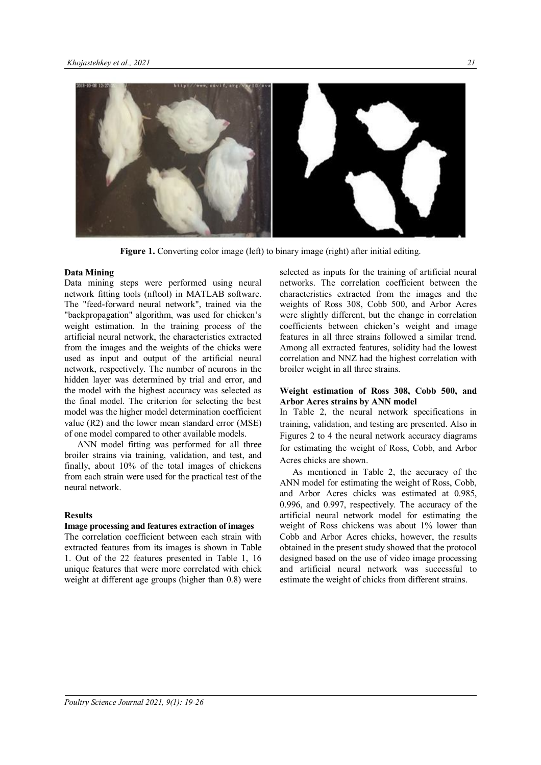

**Figure 1.** Converting color image (left) to binary image (right) after initial editing.

#### **Data Mining**

Data mining steps were performed using neural network fitting tools (nftool) in MATLAB software. The "feed-forward neural network", trained via the "backpropagation" algorithm, was used for chicken's weight estimation. In the training process of the artificial neural network, the characteristics extracted from the images and the weights of the chicks were used as input and output of the artificial neural network, respectively. The number of neurons in the hidden layer was determined by trial and error, and the model with the highest accuracy was selected as the final model. The criterion for selecting the best model was the higher model determination coefficient value (R2) and the lower mean standard error (MSE) of one model compared to other available models.

ANN model fitting was performed for all three broiler strains via training, validation, and test, and finally, about 10% of the total images of chickens from each strain were used for the practical test of the neural network.

#### **Results**

## **Image processing and features extraction of images**

The correlation coefficient between each strain with extracted features from its images is shown in Table 1. Out of the 22 features presented in Table 1, 16 unique features that were more correlated with chick weight at different age groups (higher than 0.8) were selected as inputs for the training of artificial neural networks. The correlation coefficient between the characteristics extracted from the images and the weights of Ross 308, Cobb 500, and Arbor Acres were slightly different, but the change in correlation coefficients between chicken's weight and image features in all three strains followed a similar trend. Among all extracted features, solidity had the lowest correlation and NNZ had the highest correlation with broiler weight in all three strains.

#### **Weight estimation of Ross 308, Cobb 500, and Arbor Acres strains by ANN model**

In Table 2, the neural network specifications in training, validation, and testing are presented. Also in Figures 2 to 4 the neural network accuracy diagrams for estimating the weight of Ross, Cobb, and Arbor Acres chicks are shown.

As mentioned in Table 2, the accuracy of the ANN model for estimating the weight of Ross, Cobb, and Arbor Acres chicks was estimated at 0.985, 0.996, and 0.997, respectively. The accuracy of the artificial neural network model for estimating the weight of Ross chickens was about 1% lower than Cobb and Arbor Acres chicks, however, the results obtained in the present study showed that the protocol designed based on the use of video image processing and artificial neural network was successful to estimate the weight of chicks from different strains.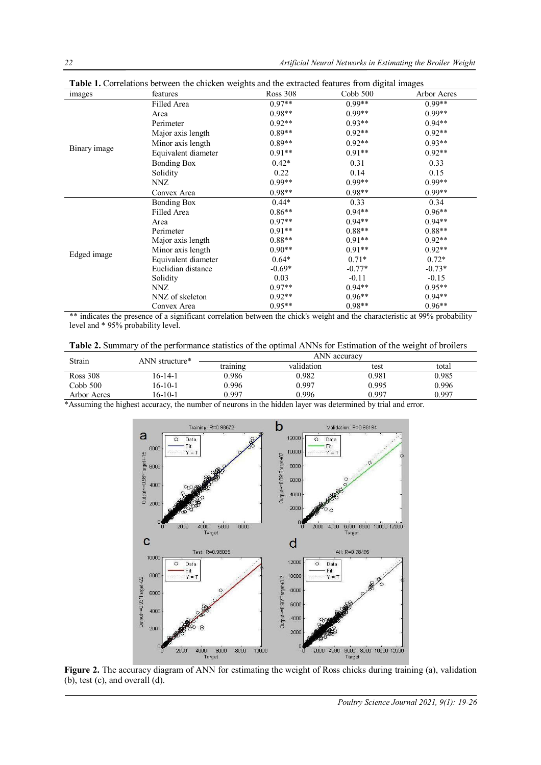| images       | features            | <b>Ross 308</b> | Cobb 500 | Arbor Acres |
|--------------|---------------------|-----------------|----------|-------------|
| Binary image | Filled Area         | $0.97**$        | $0.99**$ | $0.99**$    |
|              | Area                | $0.98**$        | $0.99**$ | $0.99**$    |
|              | Perimeter           | $0.92**$        | $0.93**$ | $0.94**$    |
|              | Major axis length   | $0.89**$        | $0.92**$ | $0.92**$    |
|              | Minor axis length   | $0.89**$        | $0.92**$ | $0.93**$    |
|              | Equivalent diameter | $0.91**$        | $0.91**$ | $0.92**$    |
|              | <b>Bonding Box</b>  | $0.42*$         | 0.31     | 0.33        |
|              | Solidity            | 0.22            | 0.14     | 0.15        |
|              | NNZ                 | $0.99**$        | $0.99**$ | $0.99**$    |
|              | Convex Area         | $0.98**$        | $0.98**$ | $0.99**$    |
|              | <b>Bonding Box</b>  | $0.44*$         | 0.33     | 0.34        |
|              | Filled Area         | $0.86**$        | $0.94**$ | $0.96**$    |
|              | Area                | $0.97**$        | $0.94**$ | $0.94**$    |
|              | Perimeter           | $0.91**$        | $0.88**$ | $0.88**$    |
| Edged image  | Major axis length   | $0.88**$        | $0.91**$ | $0.92**$    |
|              | Minor axis length   | $0.90**$        | $0.91**$ | $0.92**$    |
|              | Equivalent diameter | $0.64*$         | $0.71*$  | $0.72*$     |
|              | Euclidian distance  | $-0.69*$        | $-0.77*$ | $-0.73*$    |
|              | Solidity            | 0.03            | $-0.11$  | $-0.15$     |
|              | NNZ                 | $0.97**$        | $0.94**$ | $0.95**$    |
|              | NNZ of skeleton     | $0.92**$        | $0.96**$ | $0.94**$    |
|              | Convex Area         | $0.95**$        | $0.98**$ | $0.96**$    |

**Table 1.** Correlations between the chicken weights and the extracted features from digital images

\*\* indicates the presence of a significant correlation between the chick's weight and the characteristic at 99% probability level and \* 95% probability level.

**Table 2.** Summary of the performance statistics of the optimal ANNs for Estimation of the weight of broilers

| Strain          | ANN structure* | ANN accuracy |            |       |       |  |
|-----------------|----------------|--------------|------------|-------|-------|--|
|                 |                | training     | validation | test  | total |  |
| <b>Ross 308</b> | 16-14-1        | 0.986        | 0.982      | 0.981 | 0.985 |  |
| Cobb 500        | 16-10-1        | 0.996        | 0.997      | 0.995 | 0.996 |  |
| Arbor Acres     | 16-10-1        | 0.997        | 0.996      | 0.997 | 0.997 |  |

\*Assuming the highest accuracy, the number of neurons in the hidden layer was determined by trial and error.



**Figure 2.** The accuracy diagram of ANN for estimating the weight of Ross chicks during training (a), validation (b), test (c), and overall (d).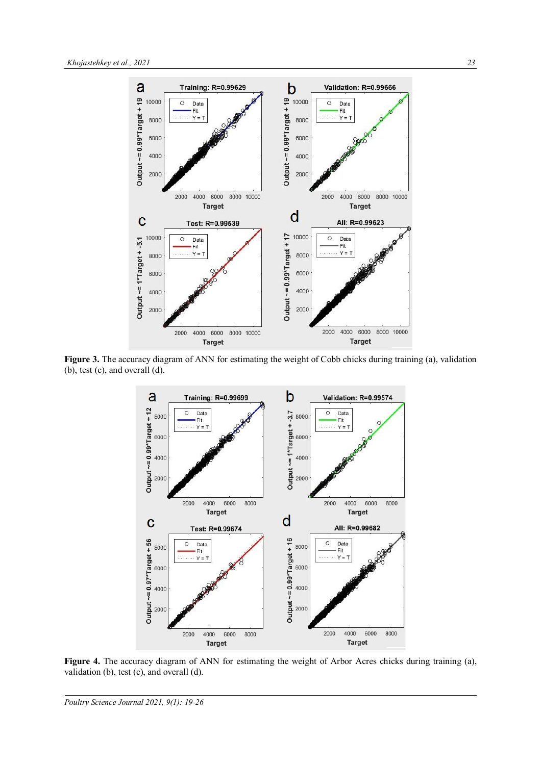

**Figure 3.** The accuracy diagram of ANN for estimating the weight of Cobb chicks during training (a), validation (b), test (c), and overall (d).



**Figure 4.** The accuracy diagram of ANN for estimating the weight of Arbor Acres chicks during training (a), validation (b), test (c), and overall (d).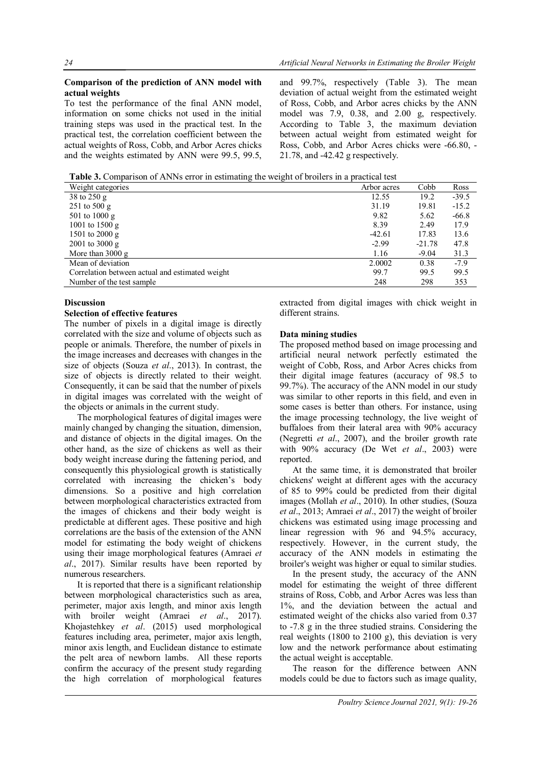#### **Comparison of the prediction of ANN model with actual weights**

To test the performance of the final ANN model, information on some chicks not used in the initial training steps was used in the practical test. In the practical test, the correlation coefficient between the actual weights of Ross, Cobb, and Arbor Acres chicks and the weights estimated by ANN were 99.5, 99.5,

and 99.7%, respectively (Table 3). The mean deviation of actual weight from the estimated weight of Ross, Cobb, and Arbor acres chicks by the ANN model was 7.9, 0.38, and 2.00 g, respectively. According to Table 3, the maximum deviation between actual weight from estimated weight for Ross, Cobb, and Arbor Acres chicks were -66.80, - 21.78, and -42.42 g respectively.

**Table 3.** Comparison of ANNs error in estimating the weight of broilers in a practical test

| Weight categories                               | Arbor acres | Cobb     | Ross    |
|-------------------------------------------------|-------------|----------|---------|
| 38 to 250 g                                     | 12.55       | 19.2     | $-39.5$ |
| 251 to 500 g                                    | 31.19       | 19.81    | $-15.2$ |
| 501 to 1000 g                                   | 9.82        | 5.62     | $-66.8$ |
| 1001 to 1500 g                                  | 8.39        | 2.49     | 17.9    |
| 1501 to 2000 g                                  | $-42.61$    | 17.83    | 13.6    |
| $2001$ to $3000$ g                              | $-2.99$     | $-21.78$ | 47.8    |
| More than $3000 \text{ g}$                      | 1.16        | $-9.04$  | 31.3    |
| Mean of deviation                               | 2.0002      | 0.38     | $-7.9$  |
| Correlation between actual and estimated weight | 99.7        | 99.5     | 99.5    |
| Number of the test sample                       | 248         | 298      | 353     |

#### **Discussion**

#### **Selection of effective features**

The number of pixels in a digital image is directly correlated with the size and volume of objects such as people or animals. Therefore, the number of pixels in the image increases and decreases with changes in the size of objects (Souza *et al*., 2013). In contrast, the size of objects is directly related to their weight. Consequently, it can be said that the number of pixels in digital images was correlated with the weight of the objects or animals in the current study.

The morphological features of digital images were mainly changed by changing the situation, dimension, and distance of objects in the digital images. On the other hand, as the size of chickens as well as their body weight increase during the fattening period, and consequently this physiological growth is statistically correlated with increasing the chicken's body dimensions. So a positive and high correlation between morphological characteristics extracted from the images of chickens and their body weight is predictable at different ages. These positive and high correlations are the basis of the extension of the ANN model for estimating the body weight of chickens using their image morphological features (Amraei *et al*., 2017). Similar results have been reported by numerous researchers.

It is reported that there is a significant relationship between morphological characteristics such as area, perimeter, major axis length, and minor axis length with broiler weight (Amraei *et al*., 2017). Khojastehkey *et al*. (2015) used morphological features including area, perimeter, major axis length, minor axis length, and Euclidean distance to estimate the pelt area of newborn lambs. All these reports confirm the accuracy of the present study regarding the high correlation of morphological features

extracted from digital images with chick weight in different strains.

## **Data mining studies**

The proposed method based on image processing and artificial neural network perfectly estimated the weight of Cobb, Ross, and Arbor Acres chicks from their digital image features (accuracy of 98.5 to 99.7%). The accuracy of the ANN model in our study was similar to other reports in this field, and even in some cases is better than others. For instance, using the image processing technology, the live weight of buffaloes from their lateral area with 90% accuracy (Negretti *et al*., 2007), and the broiler growth rate with 90% accuracy (De Wet *et al*., 2003) were reported.

At the same time, it is demonstrated that broiler chickens' weight at different ages with the accuracy of 85 to 99% could be predicted from their digital images (Mollah *et al*., 2010). In other studies, (Souza *et al*., 2013; Amraei *et al*., 2017) the weight of broiler chickens was estimated using image processing and linear regression with 96 and 94.5% accuracy, respectively. However, in the current study, the accuracy of the ANN models in estimating the broiler's weight was higher or equal to similar studies.

In the present study, the accuracy of the ANN model for estimating the weight of three different strains of Ross, Cobb, and Arbor Acres was less than 1%, and the deviation between the actual and estimated weight of the chicks also varied from 0.37 to -7.8 g in the three studied strains. Considering the real weights (1800 to 2100 g), this deviation is very low and the network performance about estimating the actual weight is acceptable.

The reason for the difference between ANN models could be due to factors such as image quality,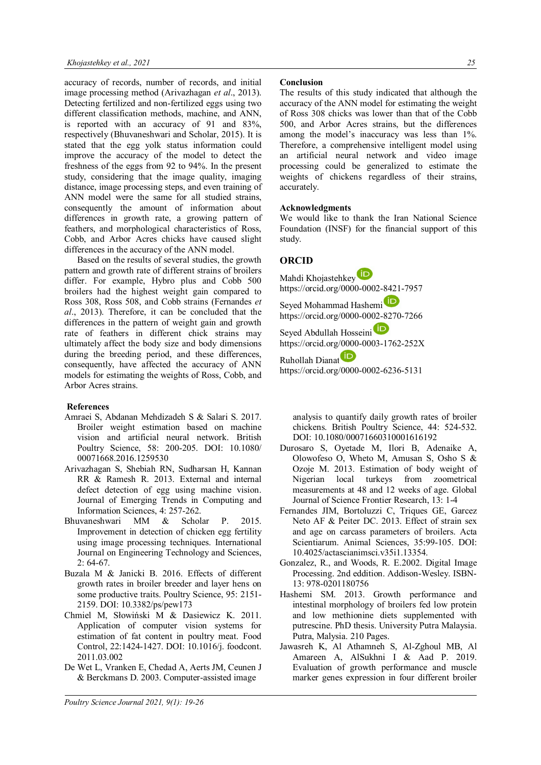accuracy of records, number of records, and initial image processing method (Arivazhagan *et al*., 2013). Detecting fertilized and non-fertilized eggs using two different classification methods, machine, and ANN, is reported with an accuracy of 91 and 83%, respectively (Bhuvaneshwari and Scholar, 2015). It is stated that the egg yolk status information could improve the accuracy of the model to detect the freshness of the eggs from 92 to 94%. In the present study, considering that the image quality, imaging distance, image processing steps, and even training of ANN model were the same for all studied strains, consequently the amount of information about differences in growth rate, a growing pattern of feathers, and morphological characteristics of Ross, Cobb, and Arbor Acres chicks have caused slight differences in the accuracy of the ANN model.

Based on the results of several studies, the growth pattern and growth rate of different strains of broilers differ. For example, Hybro plus and Cobb 500 broilers had the highest weight gain compared to Ross 308, Ross 508, and Cobb strains (Fernandes *et al*., 2013). Therefore, it can be concluded that the differences in the pattern of weight gain and growth rate of feathers in different chick strains may ultimately affect the body size and body dimensions during the breeding period, and these differences, consequently, have affected the accuracy of ANN models for estimating the weights of Ross, Cobb, and Arbor Acres strains.

#### **References**

- Amraei S, Abdanan Mehdizadeh S & Salari S. 2017. Broiler weight estimation based on machine vision and artificial neural network. British Poultry Science, 58: 200-205. DOI: 10.1080/ 00071668.2016.1259530
- Arivazhagan S, Shebiah RN, Sudharsan H, Kannan RR & Ramesh R. 2013. External and internal defect detection of egg using machine vision. Journal of Emerging Trends in Computing and Information Sciences, 4: 257-262.
- Bhuvaneshwari MM & Scholar P. 2015. Improvement in detection of chicken egg fertility using image processing techniques. International Journal on Engineering Technology and Sciences,  $2: 64-67.$
- Buzala M & Janicki B. 2016. Effects of different growth rates in broiler breeder and layer hens on some productive traits. Poultry Science, 95: 2151- 2159. DOI: 10.3382/ps/pew173
- Chmiel M, Słowiński M & Dasiewicz K. 2011. Application of computer vision systems for estimation of fat content in poultry meat. Food Control, 22:1424-1427. DOI: 10.1016/j. foodcont. 2011.03.002
- De Wet L, Vranken E, Chedad A, Aerts JM, Ceunen J & Berckmans D. 2003. Computer-assisted image

#### **Conclusion**

The results of this study indicated that although the accuracy of the ANN model for estimating the weight of Ross 308 chicks was lower than that of the Cobb 500, and Arbor Acres strains, but the differences among the model's inaccuracy was less than 1%. Therefore, a comprehensive intelligent model using an artificial neural network and video image processing could be generalized to estimate the weights of chickens regardless of their strains, accurately.

#### **Acknowledgments**

We would like to thank the Iran National Science Foundation (INSF) for the financial support of this study.

# **ORCID**

Mahdi Khojastehkey<sup>D</sup> https://orcid.org/0000-0002-8421-7957

Seyed Mohammad Hashemi https://orcid.org/0000-0002-8270-7266 Seyed Abdullah Hosseini https://orcid.org/0000-0003-1762-252X

Ruhollah Dianat https://orcid.org/0000-0002-6236-5131

analysis to quantify daily growth rates of broiler chickens. British Poultry Science, 44: 524-532. DOI: 10.1080/00071660310001616192

- Durosaro S, Oyetade M, Ilori B, Adenaike A, Olowofeso O, Wheto M, Amusan S, Osho S & Ozoje M. 2013. Estimation of body weight of Nigerian local turkeys from zoometrical measurements at 48 and 12 weeks of age. Global Journal of Science Frontier Research, 13: 1-4
- Fernandes JIM, Bortoluzzi C, Triques GE, Garcez Neto AF & Peiter DC. 2013. Effect of strain sex and age on carcass parameters of broilers. Acta Scientiarum. Animal Sciences, 35:99-105. DOI: 10.4025/actascianimsci.v35i1.13354.
- Gonzalez, R., and Woods, R. E.2002. Digital Image Processing. 2nd eddition. Addison-Wesley. ISBN-13: 978-0201180756
- Hashemi SM. 2013. Growth performance and intestinal morphology of broilers fed low protein and low methionine diets supplemented with putrescine. PhD thesis. University Putra Malaysia. Putra, Malysia. 210 Pages.
- Jawasreh K, Al Athamneh S, Al-Zghoul MB, Al Amareen A, AlSukhni I & Aad P. 2019. Evaluation of growth performance and muscle marker genes expression in four different broiler